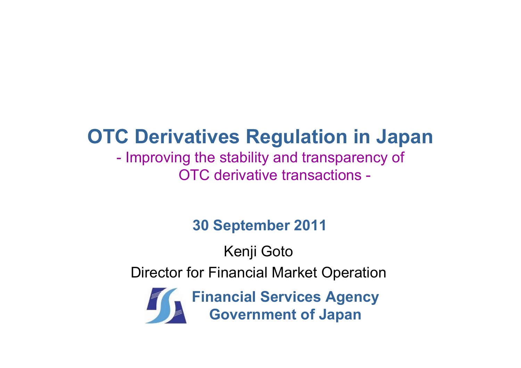# **OTC Derivatives Regulation in Japan**

#### $\mathcal{L}_{\mathcal{A}}$ - Improving the stability and transparency of OTC derivative transactions -

### **30 September 2011**

Kenji Goto Director for Financial Market Operation

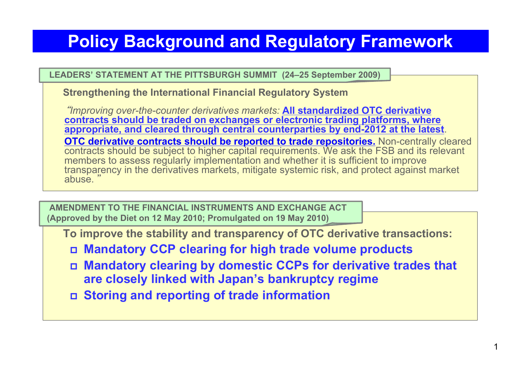### **Policy Background and Regulatory Framework**

#### **LEADERS' STATEMENT AT THE PITTSBURGH SUMMIT (24–25 September 2009)**

**Strengthening the International Financial Regulatory System**

"*Improving over-the-counter derivatives markets:* **All standardized OTC derivative contracts should be traded on exchanges or electronic trading platforms, where appropriate, and cleared through central counterparties by end-2012 at the latest**. **OTC derivative contracts should be reported to trade repositories.** Non-centrally cleared contracts should be subject to higher capital requirements. We ask the FSB and its relevant members to assess regularly implementation and whether it is sufficient to improve transparency in the derivatives markets, mitigate systemic risk, and protect against market abuse. "

**AMENDMENT TO THE FINANCIAL INSTRUMENTS AND EXCHANGE ACT(Approved by the Diet on 12 May 2010; Promulgated on 19 May 2010)**

**To improve the stability and transparency of OTC derivative transactions:**

- **Mandatory CCP clearing for high trade volume products**
- **Mandatory clearing by domestic CCPs for derivative trades that are closely linked with Japan's bankruptcy regime**
- **Storing and reporting of trade information**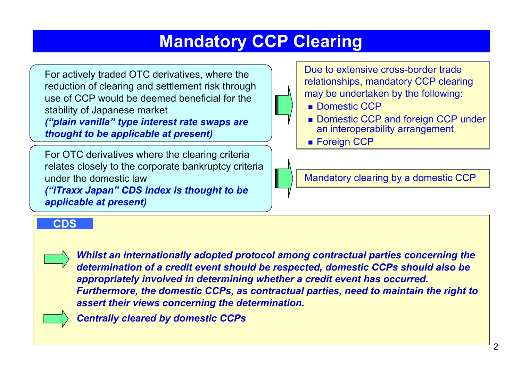### **Mandatory CCP Clearing**

For actively traded OTC derivatives, where the reduction of clearing and settlement risk through use of CCP would be deemed beneficial for the stability of Japanese market

*("plain vanilla" type interest rate swaps are thought to be applicable at present)*

For OTC derivatives where the clearing criteria relates closely to the corporate bankruptcy criteria under the domestic law *("iTraxx Japan" CDS index is thought to be applicable at present)*

Due to extensive cross-border trade relationships, mandatory CCP clearing may be undertaken by the following:

- Domestic CCP
- Domestic CCP and foreign CCP under an interoperability arrangement
- Foreign CCP

Mandatory clearing by a domestic CCP

#### **CDS**

bankruptcy law.

*Whilst an internationally adopted protocol among contractual parties concerning the determination of a credit event should be respected, domestic CCPs should also be appropriately involved in determining whether a credit event has occurred. Furthermore, the domestic CCPs, as contractual parties, need to maintain the right to assert their views concerning the determination.*



*Centrally cleared by domestic CCPs*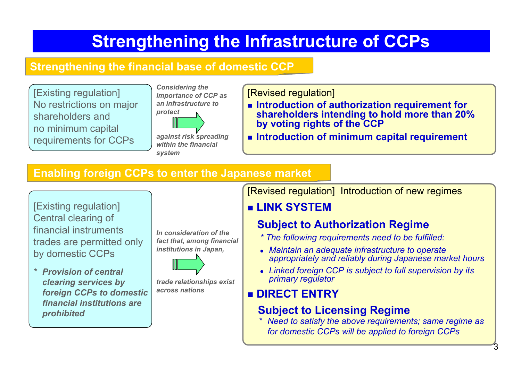## **Strengthening the Infrastructure of CCPs**

#### **Strengthening the financial base of domestic CCP**

[Existing regulation] No restrictions on major shareholders and no minimum capital requirements for CCPs



[Revised regulation]

- Introduction of authorization requirement for **shareholders intending to hold more than 20% by voting rights of the CCP**
- **Introduction of minimum capital requirement**

#### **Enabling foreign CCPs to enter the Japanese market**

[Existing regulation] Central clearing of financial instruments trades are permitted only by domestic CCPs

*\* Provision of central clearing services by foreign CCPs to domestic financial institutions are prohibited* 

*In consideration of the fact that, among financial institutions in Japan,* 



*trade relationships exist across nations*

#### [Revised regulation] Introduction of new regimes

#### **LINK SYSTEM**

#### **Subject to Authorization Regime**

- *\* The following requirements need to be fulfilled:*
- **Maintain an adequate infrastructure to operate** *appropriately and reliably during Japanese market hours*
- z *Linked foreign CCP is subject to full supervision by its primary regulator*

### **DIRECT ENTRY**

#### **Subject to Licensing Regime**

*\* Need to satisfy the above requirements; same regime as for domestic CCPs will be applied to foreign CCPs*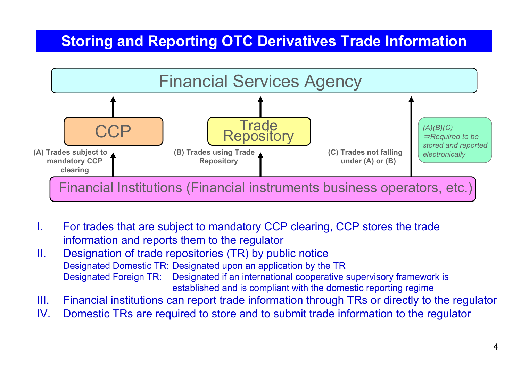### **Storing and Reporting OTC Derivatives Trade Information**



- I. For trades that are subject to mandatory CCP clearing, CCP stores the trade information and reports them to the regulator
- II. Designation of trade repositories (TR) by public notice Designated Domestic TR: Designated upon an application by the TR Designated Foreign TR: Designated if an international cooperative supervisory framework is established and is compliant with the domestic reporting regime
- III.Financial institutions can report trade information through TRs or directly to the regulator
- IV.Domestic TRs are required to store and to submit trade information to the regulator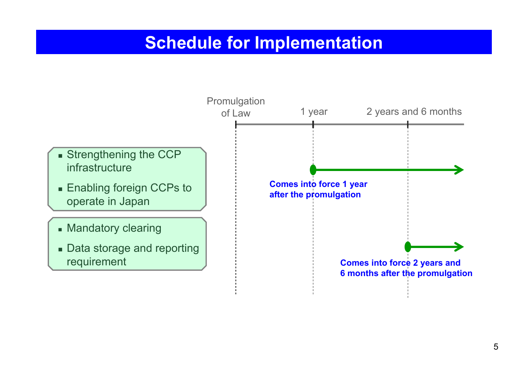### **Schedule for Implementation**

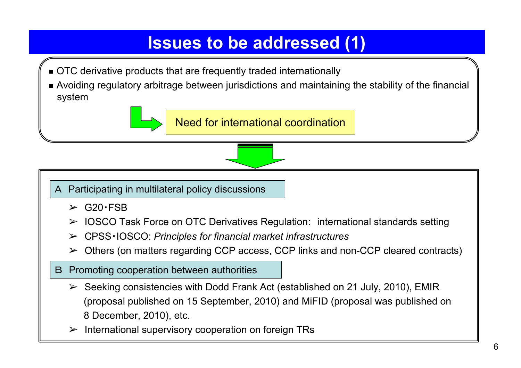### **Issues to be addressed (1)**

- OTC derivative products that are frequently traded internationally
- Avoiding regulatory arbitrage between jurisdictions and maintaining the stability of the financial system



A Participating in multilateral policy discussions

- $\triangleright$  G20 · FSB
- ➢ IOSCO Task Force on OTC Derivatives Regulation: international standards setting
- ➢ CPSS・IOSCO: *Principles for financial market infrastructures*
- ➢ Others (on matters regarding CCP access, CCP links and non-CCP cleared contracts)
- B Promoting cooperation between authorities
	- $\triangleright$  Seeking consistencies with Dodd Frank Act (established on 21 July, 2010), EMIR (proposal published on 15 September, 2010) and MiFID (proposal was published on 8 December, 2010), etc.
	- ➢International supervisory cooperation on foreign TRs